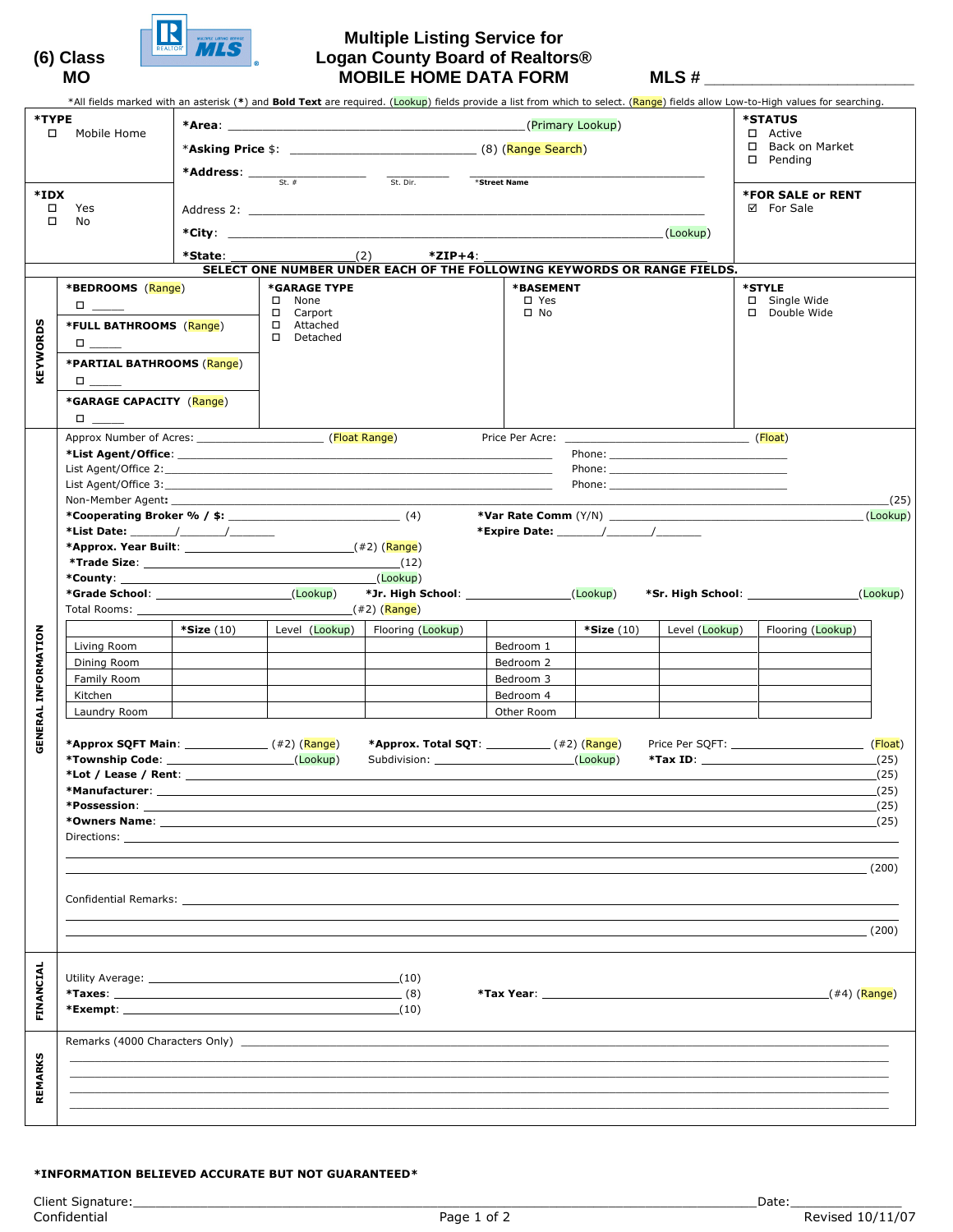

## **Multiple Listing Service for (6) Class Logan County Board of Realtors®**  MO MOBILE HOME DATA FORM MLS #

|                            |                                                                                      |                                                                                                                                                                                                                                                                                                                                                                 |                         |                                                                                                                                                                                                                                |                                       |                             |                | *All fields marked with an asterisk (*) and <b>Bold Text</b> are required. ( <mark>Lookup</mark> ) fields provide a list from which to select. ( <mark>Range</mark> ) fields allow Low-to-High values for searching. |  |
|----------------------------|--------------------------------------------------------------------------------------|-----------------------------------------------------------------------------------------------------------------------------------------------------------------------------------------------------------------------------------------------------------------------------------------------------------------------------------------------------------------|-------------------------|--------------------------------------------------------------------------------------------------------------------------------------------------------------------------------------------------------------------------------|---------------------------------------|-----------------------------|----------------|----------------------------------------------------------------------------------------------------------------------------------------------------------------------------------------------------------------------|--|
| *TYPE<br>□ Mobile Home     |                                                                                      | <b>*Area:</b> (Primary Lookup)                                                                                                                                                                                                                                                                                                                                  |                         |                                                                                                                                                                                                                                |                                       |                             |                | <b>*STATUS</b>                                                                                                                                                                                                       |  |
|                            |                                                                                      |                                                                                                                                                                                                                                                                                                                                                                 | □ Active                |                                                                                                                                                                                                                                |                                       |                             |                |                                                                                                                                                                                                                      |  |
|                            |                                                                                      |                                                                                                                                                                                                                                                                                                                                                                 |                         |                                                                                                                                                                                                                                | □ Back on Market<br>$\square$ Pending |                             |                |                                                                                                                                                                                                                      |  |
|                            |                                                                                      |                                                                                                                                                                                                                                                                                                                                                                 | $St.$ #                 | St. Dir.                                                                                                                                                                                                                       | *Street Name                          |                             |                |                                                                                                                                                                                                                      |  |
| *IDX                       |                                                                                      |                                                                                                                                                                                                                                                                                                                                                                 |                         | <b>*FOR SALE or RENT</b>                                                                                                                                                                                                       |                                       |                             |                |                                                                                                                                                                                                                      |  |
| $\Box$                     | Yes                                                                                  |                                                                                                                                                                                                                                                                                                                                                                 |                         |                                                                                                                                                                                                                                |                                       |                             |                | ⊠ For Sale                                                                                                                                                                                                           |  |
| $\Box$                     | No                                                                                   |                                                                                                                                                                                                                                                                                                                                                                 |                         |                                                                                                                                                                                                                                |                                       |                             | (Lookup)       |                                                                                                                                                                                                                      |  |
|                            |                                                                                      |                                                                                                                                                                                                                                                                                                                                                                 | *State: $(2)$           | $*$ ZIP+4:                                                                                                                                                                                                                     |                                       |                             |                |                                                                                                                                                                                                                      |  |
|                            |                                                                                      |                                                                                                                                                                                                                                                                                                                                                                 |                         | SELECT ONE NUMBER UNDER EACH OF THE FOLLOWING KEYWORDS OR RANGE FIELDS.                                                                                                                                                        |                                       |                             |                |                                                                                                                                                                                                                      |  |
|                            | *BEDROOMS (Range)                                                                    |                                                                                                                                                                                                                                                                                                                                                                 | *GARAGE TYPE            |                                                                                                                                                                                                                                | *BASEMENT                             |                             |                | *STYLE                                                                                                                                                                                                               |  |
|                            | $\Box$<br>*FULL BATHROOMS (Range)                                                    |                                                                                                                                                                                                                                                                                                                                                                 | $\square$ None          |                                                                                                                                                                                                                                | $\square$ Yes<br>$\square$ No         |                             |                | $\square$ Single Wide<br>□ Double Wide                                                                                                                                                                               |  |
|                            |                                                                                      |                                                                                                                                                                                                                                                                                                                                                                 | □ Carport<br>□ Attached |                                                                                                                                                                                                                                |                                       |                             |                |                                                                                                                                                                                                                      |  |
| <b>KEYWORDS</b>            | $\Box$                                                                               |                                                                                                                                                                                                                                                                                                                                                                 | D Detached              |                                                                                                                                                                                                                                |                                       |                             |                |                                                                                                                                                                                                                      |  |
|                            | *PARTIAL BATHROOMS (Range)                                                           |                                                                                                                                                                                                                                                                                                                                                                 |                         |                                                                                                                                                                                                                                |                                       |                             |                |                                                                                                                                                                                                                      |  |
|                            |                                                                                      | $\begin{tabular}{cc} \bf{D} & \bf{L} & \bf{L} \\ \bf{L} & \bf{L} & \bf{L} \\ \bf{L} & \bf{L} & \bf{L} \\ \bf{L} & \bf{L} & \bf{L} \\ \bf{L} & \bf{L} & \bf{L} \\ \bf{L} & \bf{L} & \bf{L} \\ \bf{L} & \bf{L} & \bf{L} \\ \bf{L} & \bf{L} & \bf{L} \\ \bf{L} & \bf{L} & \bf{L} \\ \bf{L} & \bf{L} & \bf{L} \\ \bf{L} & \bf{L} & \bf{L} \\ \bf{L} & \bf{L} & \bf$ |                         |                                                                                                                                                                                                                                |                                       |                             |                |                                                                                                                                                                                                                      |  |
|                            | *GARAGE CAPACITY (Range)                                                             |                                                                                                                                                                                                                                                                                                                                                                 |                         |                                                                                                                                                                                                                                |                                       |                             |                |                                                                                                                                                                                                                      |  |
|                            | $\Box$                                                                               |                                                                                                                                                                                                                                                                                                                                                                 |                         |                                                                                                                                                                                                                                |                                       |                             |                |                                                                                                                                                                                                                      |  |
|                            |                                                                                      |                                                                                                                                                                                                                                                                                                                                                                 |                         |                                                                                                                                                                                                                                |                                       |                             |                |                                                                                                                                                                                                                      |  |
|                            |                                                                                      |                                                                                                                                                                                                                                                                                                                                                                 |                         |                                                                                                                                                                                                                                |                                       |                             |                |                                                                                                                                                                                                                      |  |
|                            |                                                                                      |                                                                                                                                                                                                                                                                                                                                                                 |                         |                                                                                                                                                                                                                                |                                       |                             |                |                                                                                                                                                                                                                      |  |
|                            |                                                                                      |                                                                                                                                                                                                                                                                                                                                                                 |                         |                                                                                                                                                                                                                                |                                       |                             |                |                                                                                                                                                                                                                      |  |
|                            | Non-Member Agent: Non-Member Agent:<br>*Cooperating Broker % / $\frac{1}{2}$ : $(4)$ |                                                                                                                                                                                                                                                                                                                                                                 |                         |                                                                                                                                                                                                                                |                                       |                             |                | (25)<br>(Lookup)                                                                                                                                                                                                     |  |
|                            |                                                                                      |                                                                                                                                                                                                                                                                                                                                                                 |                         |                                                                                                                                                                                                                                |                                       | *Expire Date: $\sqrt{2\pi}$ |                |                                                                                                                                                                                                                      |  |
|                            |                                                                                      |                                                                                                                                                                                                                                                                                                                                                                 |                         |                                                                                                                                                                                                                                |                                       |                             |                |                                                                                                                                                                                                                      |  |
|                            | *Trade Size: $(12)$                                                                  |                                                                                                                                                                                                                                                                                                                                                                 |                         |                                                                                                                                                                                                                                |                                       |                             |                |                                                                                                                                                                                                                      |  |
|                            |                                                                                      |                                                                                                                                                                                                                                                                                                                                                                 |                         | (Lookup)                                                                                                                                                                                                                       |                                       |                             |                |                                                                                                                                                                                                                      |  |
|                            |                                                                                      |                                                                                                                                                                                                                                                                                                                                                                 |                         | *Jr. High School: _______________________(Lookup)                                                                                                                                                                              |                                       |                             |                | (Lookup)                                                                                                                                                                                                             |  |
|                            | Total Rooms:                                                                         |                                                                                                                                                                                                                                                                                                                                                                 | (#2) (Range)            |                                                                                                                                                                                                                                |                                       |                             |                |                                                                                                                                                                                                                      |  |
| <b>GENERAL INFORMATION</b> |                                                                                      | $*$ Size $(10)$                                                                                                                                                                                                                                                                                                                                                 | Level (Lookup)          | Flooring (Lookup)                                                                                                                                                                                                              | Bedroom 1                             | $*Size(10)$                 | Level (Lookup) | Flooring (Lookup)                                                                                                                                                                                                    |  |
|                            | Living Room<br>Dining Room                                                           |                                                                                                                                                                                                                                                                                                                                                                 |                         |                                                                                                                                                                                                                                | Bedroom 2                             |                             |                |                                                                                                                                                                                                                      |  |
|                            | Family Room                                                                          |                                                                                                                                                                                                                                                                                                                                                                 |                         |                                                                                                                                                                                                                                | Bedroom 3                             |                             |                |                                                                                                                                                                                                                      |  |
|                            | Kitchen                                                                              |                                                                                                                                                                                                                                                                                                                                                                 |                         |                                                                                                                                                                                                                                | Bedroom 4                             |                             |                |                                                                                                                                                                                                                      |  |
|                            | Laundry Room                                                                         |                                                                                                                                                                                                                                                                                                                                                                 |                         |                                                                                                                                                                                                                                | Other Room                            |                             |                |                                                                                                                                                                                                                      |  |
|                            |                                                                                      |                                                                                                                                                                                                                                                                                                                                                                 |                         |                                                                                                                                                                                                                                |                                       |                             |                |                                                                                                                                                                                                                      |  |
|                            | *Approx SQFT Main: ________________(#2)(Range)                                       |                                                                                                                                                                                                                                                                                                                                                                 |                         |                                                                                                                                                                                                                                | *Approx. Total SQT: $(42)$ $(Range)$  |                             |                | $*$ Tax ID:<br>(25)                                                                                                                                                                                                  |  |
|                            | *Lot / Lease / Rent:                                                                 |                                                                                                                                                                                                                                                                                                                                                                 |                         |                                                                                                                                                                                                                                |                                       |                             |                | (25)                                                                                                                                                                                                                 |  |
|                            | *Manufacturer: __                                                                    |                                                                                                                                                                                                                                                                                                                                                                 |                         |                                                                                                                                                                                                                                |                                       |                             |                | (25)                                                                                                                                                                                                                 |  |
|                            | *Possession:                                                                         |                                                                                                                                                                                                                                                                                                                                                                 |                         |                                                                                                                                                                                                                                |                                       |                             |                | (25)                                                                                                                                                                                                                 |  |
|                            |                                                                                      |                                                                                                                                                                                                                                                                                                                                                                 |                         |                                                                                                                                                                                                                                |                                       |                             |                | (25)                                                                                                                                                                                                                 |  |
|                            | Directions: __                                                                       |                                                                                                                                                                                                                                                                                                                                                                 |                         |                                                                                                                                                                                                                                |                                       |                             |                |                                                                                                                                                                                                                      |  |
|                            |                                                                                      |                                                                                                                                                                                                                                                                                                                                                                 |                         |                                                                                                                                                                                                                                |                                       |                             |                | (200)                                                                                                                                                                                                                |  |
|                            |                                                                                      |                                                                                                                                                                                                                                                                                                                                                                 |                         |                                                                                                                                                                                                                                |                                       |                             |                |                                                                                                                                                                                                                      |  |
|                            |                                                                                      |                                                                                                                                                                                                                                                                                                                                                                 |                         | Confidential Remarks: The contract of the contract of the contract of the contract of the contract of the contract of the contract of the contract of the contract of the contract of the contract of the contract of the cont |                                       |                             |                |                                                                                                                                                                                                                      |  |
|                            |                                                                                      |                                                                                                                                                                                                                                                                                                                                                                 |                         |                                                                                                                                                                                                                                |                                       |                             |                | (200)                                                                                                                                                                                                                |  |
|                            |                                                                                      |                                                                                                                                                                                                                                                                                                                                                                 |                         |                                                                                                                                                                                                                                |                                       |                             |                |                                                                                                                                                                                                                      |  |
|                            |                                                                                      |                                                                                                                                                                                                                                                                                                                                                                 |                         |                                                                                                                                                                                                                                |                                       |                             |                |                                                                                                                                                                                                                      |  |
| FINANCIAL                  |                                                                                      |                                                                                                                                                                                                                                                                                                                                                                 |                         |                                                                                                                                                                                                                                |                                       |                             |                |                                                                                                                                                                                                                      |  |
|                            |                                                                                      |                                                                                                                                                                                                                                                                                                                                                                 |                         |                                                                                                                                                                                                                                |                                       |                             |                | (#4) (Range)                                                                                                                                                                                                         |  |
|                            |                                                                                      |                                                                                                                                                                                                                                                                                                                                                                 |                         |                                                                                                                                                                                                                                |                                       |                             |                |                                                                                                                                                                                                                      |  |
|                            |                                                                                      |                                                                                                                                                                                                                                                                                                                                                                 |                         |                                                                                                                                                                                                                                |                                       |                             |                |                                                                                                                                                                                                                      |  |
|                            |                                                                                      |                                                                                                                                                                                                                                                                                                                                                                 |                         |                                                                                                                                                                                                                                |                                       |                             |                |                                                                                                                                                                                                                      |  |
| REMARKS                    |                                                                                      |                                                                                                                                                                                                                                                                                                                                                                 |                         |                                                                                                                                                                                                                                |                                       |                             |                |                                                                                                                                                                                                                      |  |
|                            |                                                                                      |                                                                                                                                                                                                                                                                                                                                                                 |                         |                                                                                                                                                                                                                                |                                       |                             |                |                                                                                                                                                                                                                      |  |
|                            |                                                                                      |                                                                                                                                                                                                                                                                                                                                                                 |                         |                                                                                                                                                                                                                                |                                       |                             |                |                                                                                                                                                                                                                      |  |
|                            |                                                                                      |                                                                                                                                                                                                                                                                                                                                                                 |                         |                                                                                                                                                                                                                                |                                       |                             |                |                                                                                                                                                                                                                      |  |

## \*INFORMATION BELIEVED ACCURATE BUT NOT GUARANTEED\*